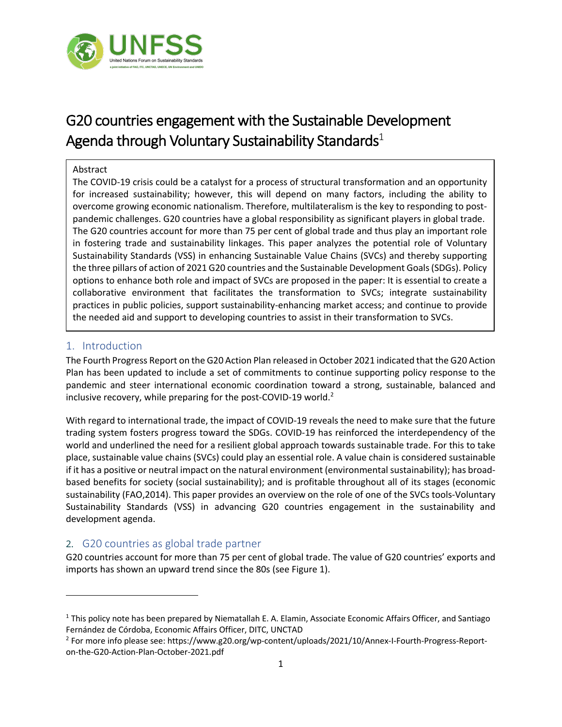

# G20 countries engagement with the Sustainable Development Agenda through Voluntary Sustainability Standards<sup>1</sup>

#### Abstract

The COVID-19 crisis could be a catalyst for a process of structural transformation and an opportunity for increased sustainability; however, this will depend on many factors, including the ability to overcome growing economic nationalism. Therefore, multilateralism is the key to responding to postpandemic challenges. G20 countries have a global responsibility as significant players in global trade. The G20 countries account for more than 75 per cent of global trade and thus play an important role in fostering trade and sustainability linkages. This paper analyzes the potential role of Voluntary Sustainability Standards (VSS) in enhancing Sustainable Value Chains (SVCs) and thereby supporting the three pillars of action of 2021 G20 countries and the Sustainable Development Goals (SDGs). Policy options to enhance both role and impact of SVCs are proposed in the paper: It is essential to create a collaborative environment that facilitates the transformation to SVCs; integrate sustainability practices in public policies, support sustainability-enhancing market access; and continue to provide the needed aid and support to developing countries to assist in their transformation to SVCs.

## 1. Introduction

The Fourth Progress Report on the G20 Action Plan released in October 2021 indicated that the G20 Action Plan has been updated to include a set of commitments to continue supporting policy response to the pandemic and steer international economic coordination toward a strong, sustainable, balanced and inclusive recovery, while preparing for the post-COVID-19 world.<sup>2</sup>

With regard to international trade, the impact of COVID-19 reveals the need to make sure that the future trading system fosters progress toward the SDGs. COVID-19 has reinforced the interdependency of the world and underlined the need for a resilient global approach towards sustainable trade. For this to take place, sustainable value chains (SVCs) could play an essential role. A value chain is considered sustainable if it has a positive or neutral impact on the natural environment (environmental sustainability); has broadbased benefits for society (social sustainability); and is profitable throughout all of its stages (economic sustainability (FAO,2014). This paper provides an overview on the role of one of the SVCs tools-Voluntary Sustainability Standards (VSS) in advancing G20 countries engagement in the sustainability and development agenda.

## 2. G20 countries as global trade partner

G20 countries account for more than 75 per cent of global trade. The value of G20 countries' exports and imports has shown an upward trend since the 80s (see Figure 1).

<sup>&</sup>lt;sup>1</sup> This policy note has been prepared by Niematallah E. A. Elamin, Associate Economic Affairs Officer, and Santiago Fernández de Córdoba, Economic Affairs Officer, DITC, UNCTAD

<sup>2</sup> For more info please see: https://www.g20.org/wp-content/uploads/2021/10/Annex-I-Fourth-Progress-Reporton-the-G20-Action-Plan-October-2021.pdf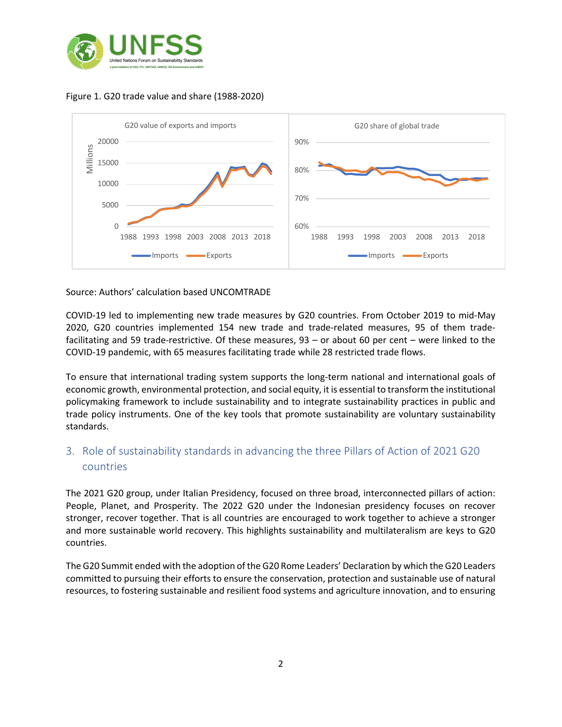

## Figure 1. G20 trade value and share (1988-2020)



#### Source: Authors' calculation based UNCOMTRADE

COVID-19 led to implementing new trade measures by G20 countries. From October 2019 to mid-May 2020, G20 countries implemented 154 new trade and trade-related measures, 95 of them tradefacilitating and 59 trade-restrictive. Of these measures, 93 – or about 60 per cent – were linked to the COVID-19 pandemic, with 65 measures facilitating trade while 28 restricted trade flows.

To ensure that international trading system supports the long-term national and international goals of economic growth, environmental protection, and social equity, it is essential to transform the institutional policymaking framework to include sustainability and to integrate sustainability practices in public and trade policy instruments. One of the key tools that promote sustainability are voluntary sustainability standards.

## 3. Role of sustainability standards in advancing the three Pillars of Action of 2021 G20 countries

The 2021 G20 group, under Italian Presidency, focused on three broad, interconnected pillars of action: People, Planet, and Prosperity. The 2022 G20 under the Indonesian presidency focuses on recover stronger, recover together. That is all countries are encouraged to work together to achieve a stronger and more sustainable world recovery. This highlights sustainability and multilateralism are keys to G20 countries.

The G20 Summit ended with the adoption of the G20 Rome Leaders' Declaration by which the G20 Leaders committed to pursuing their efforts to ensure the conservation, protection and sustainable use of natural resources, to fostering sustainable and resilient food systems and agriculture innovation, and to ensuring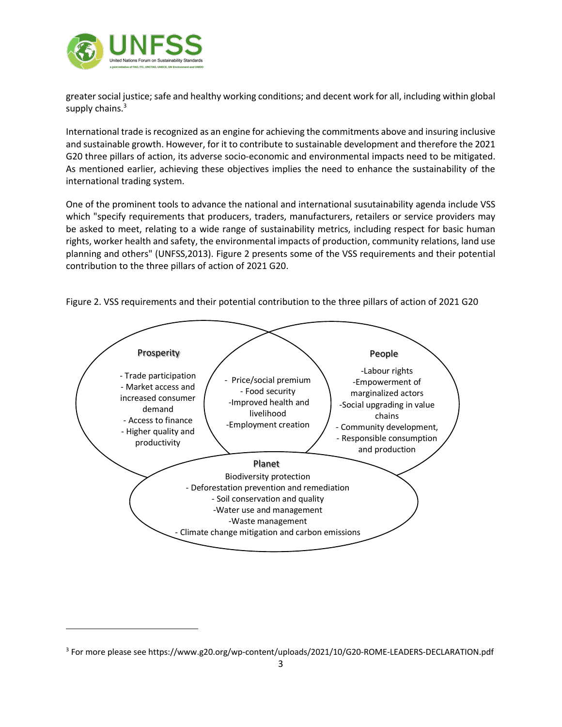

greater social justice; safe and healthy working conditions; and decent work for all, including within global supply chains.<sup>3</sup>

International trade is recognized as an engine for achieving the commitments above and insuring inclusive and sustainable growth. However, for it to contribute to sustainable development and therefore the 2021 G20 three pillars of action, its adverse socio-economic and environmental impacts need to be mitigated. As mentioned earlier, achieving these objectives implies the need to enhance the sustainability of the international trading system.

One of the prominent tools to advance the national and international susutainability agenda include VSS which "specify requirements that producers, traders, manufacturers, retailers or service providers may be asked to meet, relating to a wide range of sustainability metrics, including respect for basic human rights, worker health and safety, the environmental impacts of production, community relations, land use planning and others" (UNFSS,2013). Figure 2 presents some of the VSS requirements and their potential contribution to the three pillars of action of 2021 G20.



Figure 2. VSS requirements and their potential contribution to the three pillars of action of 2021 G20

<sup>3</sup> For more please see https://www.g20.org/wp-content/uploads/2021/10/G20-ROME-LEADERS-DECLARATION.pdf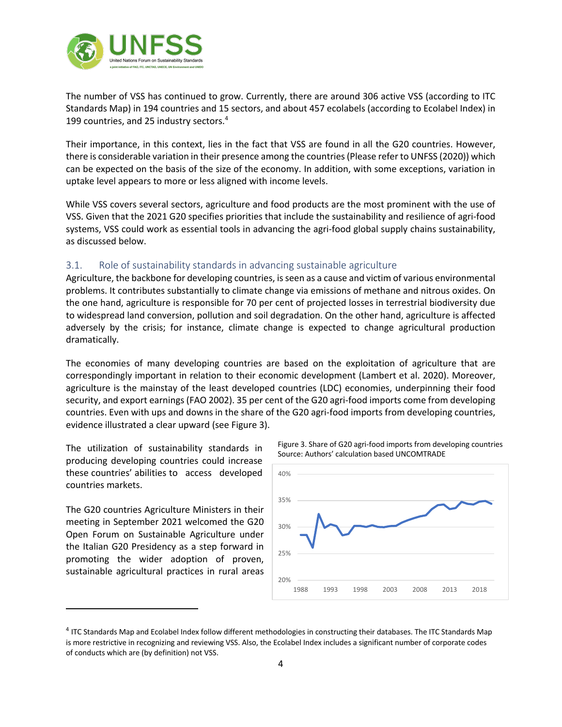

The number of VSS has continued to grow. Currently, there are around 306 active VSS (according to ITC Standards Map) in 194 countries and 15 sectors, and about 457 ecolabels (according to Ecolabel Index) in 199 countries, and 25 industry sectors. 4

Their importance, in this context, lies in the fact that VSS are found in all the G20 countries. However, there is considerable variation in their presence among the countries(Please refer to UNFSS (2020)) which can be expected on the basis of the size of the economy. In addition, with some exceptions, variation in uptake level appears to more or less aligned with income levels.

While VSS covers several sectors, agriculture and food products are the most prominent with the use of VSS. Given that the 2021 G20 specifies priorities that include the sustainability and resilience of agri-food systems, VSS could work as essential tools in advancing the agri-food global supply chains sustainability, as discussed below.

## 3.1. Role of sustainability standards in advancing sustainable agriculture

Agriculture, the backbone for developing countries, is seen as a cause and victim of various environmental problems. It contributes substantially to climate change via emissions of methane and nitrous oxides. On the one hand, agriculture is responsible for 70 per cent of projected losses in terrestrial biodiversity due to widespread land conversion, pollution and soil degradation. On the other hand, agriculture is affected adversely by the crisis; for instance, climate change is expected to change agricultural production dramatically.

The economies of many developing countries are based on the exploitation of agriculture that are correspondingly important in relation to their economic development (Lambert et al. 2020). Moreover, agriculture is the mainstay of the least developed countries (LDC) economies, underpinning their food security, and export earnings (FAO 2002). 35 per cent of the G20 agri-food imports come from developing countries. Even with ups and downs in the share of the G20 agri-food imports from developing countries, evidence illustrated a clear upward (see Figure 3).

The utilization of sustainability standards in producing developing countries could increase these countries' abilities to access developed countries markets.

The G20 countries Agriculture Ministers in their meeting in September 2021 welcomed the G20 Open Forum on Sustainable Agriculture under the Italian G20 Presidency as a step forward in promoting the wider adoption of proven, sustainable agricultural practices in rural areas





<sup>4</sup> ITC Standards Map and Ecolabel Index follow different methodologies in constructing their databases. The ITC Standards Map is more restrictive in recognizing and reviewing VSS. Also, the Ecolabel Index includes a significant number of corporate codes of conducts which are (by definition) not VSS.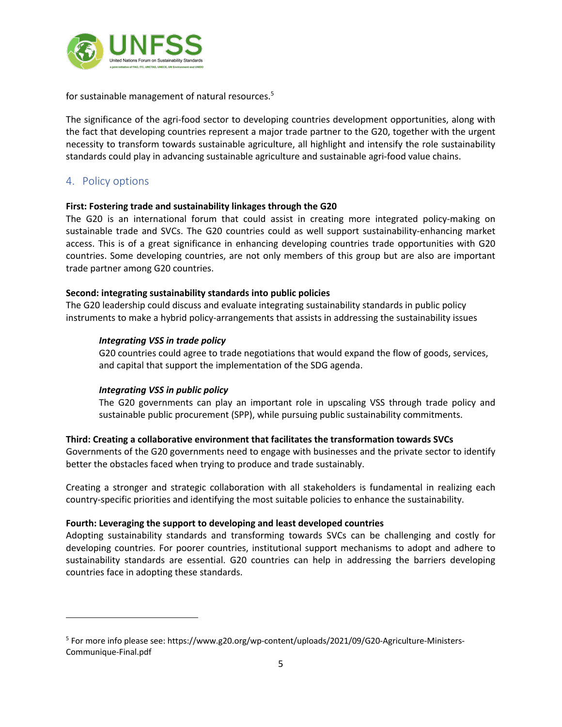

for sustainable management of natural resources.<sup>5</sup>

The significance of the agri-food sector to developing countries development opportunities, along with the fact that developing countries represent a major trade partner to the G20, together with the urgent necessity to transform towards sustainable agriculture, all highlight and intensify the role sustainability standards could play in advancing sustainable agriculture and sustainable agri-food value chains.

## 4. Policy options

## **First: Fostering trade and sustainability linkages through the G20**

The G20 is an international forum that could assist in creating more integrated policy-making on sustainable trade and SVCs. The G20 countries could as well support sustainability-enhancing market access. This is of a great significance in enhancing developing countries trade opportunities with G20 countries. Some developing countries, are not only members of this group but are also are important trade partner among G20 countries.

#### **Second: integrating sustainability standards into public policies**

The G20 leadership could discuss and evaluate integrating sustainability standards in public policy instruments to make a hybrid policy-arrangements that assists in addressing the sustainability issues

#### *Integrating VSS in trade policy*

G20 countries could agree to trade negotiations that would expand the flow of goods, services, and capital that support the implementation of the SDG agenda.

#### *Integrating VSS in public policy*

The G20 governments can play an important role in upscaling VSS through trade policy and sustainable public procurement (SPP), while pursuing public sustainability commitments.

## **Third: Creating a collaborative environment that facilitates the transformation towards SVCs**

Governments of the G20 governments need to engage with businesses and the private sector to identify better the obstacles faced when trying to produce and trade sustainably.

Creating a stronger and strategic collaboration with all stakeholders is fundamental in realizing each country-specific priorities and identifying the most suitable policies to enhance the sustainability.

## **Fourth: Leveraging the support to developing and least developed countries**

Adopting sustainability standards and transforming towards SVCs can be challenging and costly for developing countries. For poorer countries, institutional support mechanisms to adopt and adhere to sustainability standards are essential. G20 countries can help in addressing the barriers developing countries face in adopting these standards.

<sup>5</sup> For more info please see: https://www.g20.org/wp-content/uploads/2021/09/G20-Agriculture-Ministers-Communique-Final.pdf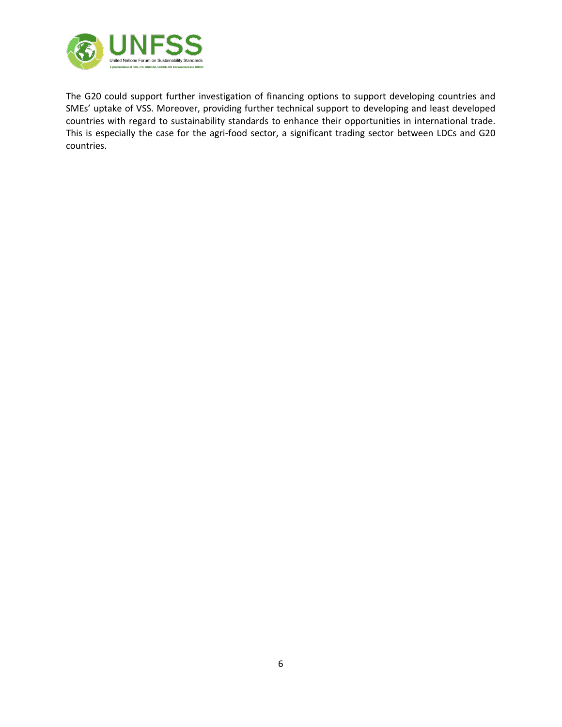

The G20 could support further investigation of financing options to support developing countries and SMEs' uptake of VSS. Moreover, providing further technical support to developing and least developed countries with regard to sustainability standards to enhance their opportunities in international trade. This is especially the case for the agri-food sector, a significant trading sector between LDCs and G20 countries.